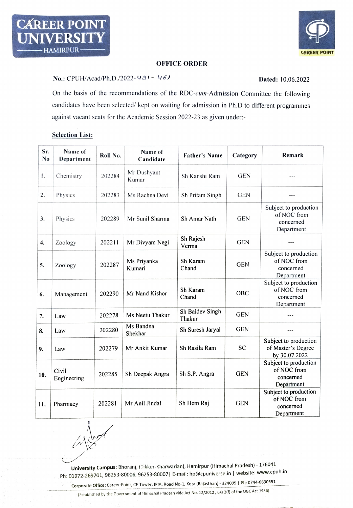

### OFFICE ORDER

# No.: CPUH/Acad/Ph.D./2022- $\frac{43! - 46!}{ }$  Dated: 10.06.2022

On the basis of the recommendations of the RDC-cum-Admission Committee the following candidates have been selected/ kept on waiting for admission in Ph.D to different programmes against vacant seats for the Academic Session 2022-23 as given under:-

### Selection List:

| Sr.<br>N <sub>0</sub> | Name of<br>Department | Roll No. | Name of<br>Candidate  | <b>Father's Name</b>      | Category   | Remark                                                          |
|-----------------------|-----------------------|----------|-----------------------|---------------------------|------------|-----------------------------------------------------------------|
| 1.                    | Chemistry             | 202284   | Mr Dushyant<br>Kumar  | Sh Kanshi Ram             | <b>GEN</b> |                                                                 |
| $\mathbf{2}$ .        | Physics               | 202283   | Ms Rachna Devi        | Sh Pritam Singh           | <b>GEN</b> |                                                                 |
| 3.                    | Physics               | 202289   | Mr Sunil Sharma       | Sh Amar Nath              | <b>GEN</b> | Subject to production<br>of NOC from<br>concerned<br>Department |
| $\overline{4}$ .      | Zoology               | 202211   | Mr Divyam Negi        | Sh Rajesh<br>Verma        | <b>GEN</b> |                                                                 |
| 5.                    | Zoology               | 202287   | Ms Priyanka<br>Kumari | Sh Karam<br>Chand         | <b>GEN</b> | Subject to production<br>of NOC from<br>concerned<br>Department |
| 6.                    | Management            | 202290   | Mr Nand Kishor        | Sh Karam<br>Chand         | OBC        | Subject to production<br>of NOC from<br>concerned<br>Department |
| 7.                    | Law                   | 202278   | Ms Neetu Thakur       | Sh Baldev Singh<br>Thakur | <b>GEN</b> | ---                                                             |
| 8.                    | Law                   | 202280   | Ms Bandna<br>Shekhar  | Sh Suresh Jaryal          | <b>GEN</b> | $---$                                                           |
| 9.                    | Law                   | 202279   | Mr Ankit Kumar        | Sh Rasila Ram             | SC         | Subject to production<br>of Master's Degree<br>by 30.07.2022    |
| 10.                   | Civil<br>Engineering  | 202285   | Sh Deepak Angra       | Sh S.P. Angra             | <b>GEN</b> | Subject to production<br>of NOC from<br>concerned<br>Department |
| 11.                   | Pharmacy              | 202281   | Mr Anil Jindal        | Sh Hem Raj                | <b>GEN</b> | Subject to production<br>of NOC from<br>concerned<br>Department |

University Campus: Bhoranj, (Tikker-Kharwarian), Hamirpur (Himachal Pradesh) - 176041 Ph: 01972-269701, 96253-80006, 96253-80007| E-mail: hp@cpuniverse.in | website: www.cpuh.in

Corporate Office: Career Point, CP Tower, IPIA, Road No-1, Kota (Rajasthan) - 324005 | Ph: 0744-6630551